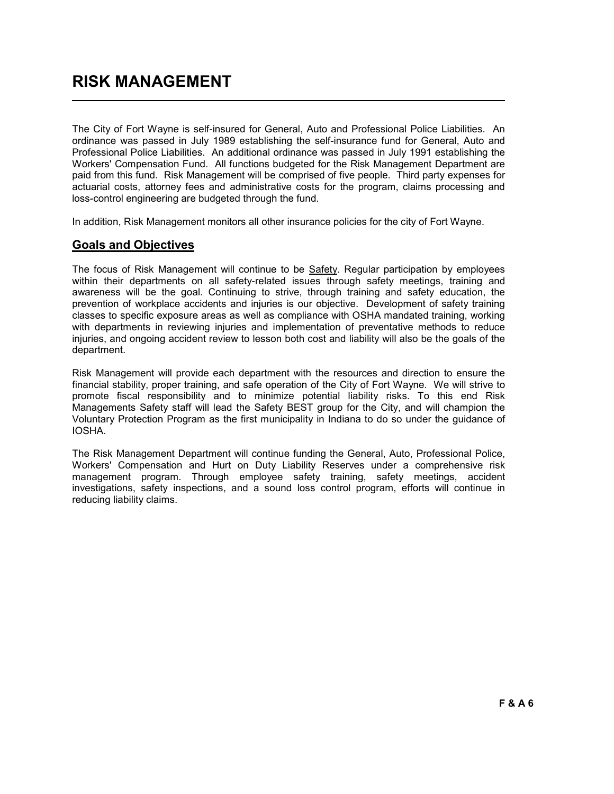The City of Fort Wayne is self-insured for General, Auto and Professional Police Liabilities. An ordinance was passed in July 1989 establishing the self-insurance fund for General, Auto and Professional Police Liabilities. An additional ordinance was passed in July 1991 establishing the Workers' Compensation Fund. All functions budgeted for the Risk Management Department are paid from this fund. Risk Management will be comprised of five people. Third party expenses for actuarial costs, attorney fees and administrative costs for the program, claims processing and loss-control engineering are budgeted through the fund.

In addition, Risk Management monitors all other insurance policies for the city of Fort Wayne.

## Goals and Objectives

The focus of Risk Management will continue to be Safety. Regular participation by employees within their departments on all safety-related issues through safety meetings, training and awareness will be the goal. Continuing to strive, through training and safety education, the prevention of workplace accidents and injuries is our objective. Development of safety training classes to specific exposure areas as well as compliance with OSHA mandated training, working with departments in reviewing injuries and implementation of preventative methods to reduce injuries, and ongoing accident review to lesson both cost and liability will also be the goals of the department.

Risk Management will provide each department with the resources and direction to ensure the financial stability, proper training, and safe operation of the City of Fort Wayne. We will strive to promote fiscal responsibility and to minimize potential liability risks. To this end Risk Managements Safety staff will lead the Safety BEST group for the City, and will champion the Voluntary Protection Program as the first municipality in Indiana to do so under the guidance of IOSHA.

The Risk Management Department will continue funding the General, Auto, Professional Police, Workers' Compensation and Hurt on Duty Liability Reserves under a comprehensive risk management program. Through employee safety training, safety meetings, accident investigations, safety inspections, and a sound loss control program, efforts will continue in reducing liability claims.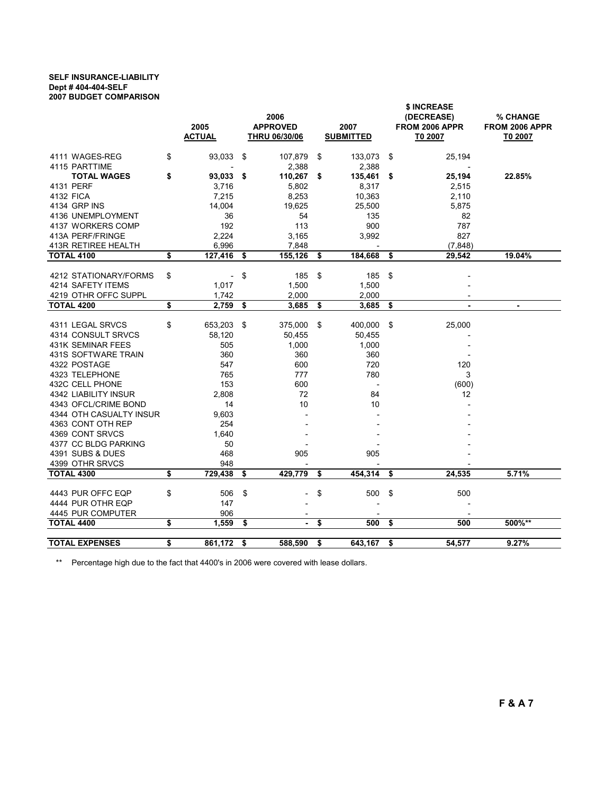## SELF INSURANCE-LIABILITY Dept # 404-404-SELF 2007 BUDGET COMPARISON

|                         | 2005<br><b>ACTUAL</b>          | 2006<br><b>APPROVED</b><br>2007<br><b>SUBMITTED</b><br><b>THRU 06/30/06</b> |         |    | \$ INCREASE<br>(DECREASE)<br>FROM 2006 APPR<br>T0 2007 | % CHANGE<br>FROM 2006 APPR<br>T0 2007 |        |
|-------------------------|--------------------------------|-----------------------------------------------------------------------------|---------|----|--------------------------------------------------------|---------------------------------------|--------|
|                         |                                |                                                                             |         |    |                                                        |                                       |        |
| 4111 WAGES-REG          | \$<br>93,033                   | - \$                                                                        | 107,879 | \$ | 133,073                                                | \$<br>25,194                          |        |
| 4115 PARTTIME           |                                |                                                                             | 2,388   |    | 2,388                                                  |                                       |        |
| <b>TOTAL WAGES</b>      | \$<br>93,033 \$                |                                                                             | 110,267 | \$ | 135,461                                                | \$<br>25,194                          | 22.85% |
| 4131 PERF               | 3,716                          |                                                                             | 5,802   |    | 8,317                                                  | 2,515                                 |        |
| 4132 FICA               | 7,215                          |                                                                             | 8,253   |    | 10,363                                                 | 2,110                                 |        |
| 4134 GRP INS            | 14.004                         |                                                                             | 19,625  |    | 25,500                                                 | 5,875                                 |        |
| 4136 UNEMPLOYMENT       | 36                             |                                                                             | 54      |    | 135                                                    | 82                                    |        |
| 4137 WORKERS COMP       | 192                            |                                                                             | 113     |    | 900                                                    | 787                                   |        |
| 413A PERF/FRINGE        | 2,224                          |                                                                             | 3,165   |    | 3,992                                                  | 827                                   |        |
| 413R RETIREE HEALTH     | 6,996                          |                                                                             | 7,848   |    |                                                        | (7, 848)                              |        |
| <b>TOTAL 4100</b>       | \$<br>127,416                  | \$                                                                          | 155,126 | \$ | 184,668                                                | \$<br>29,542                          | 19.04% |
|                         |                                |                                                                             |         |    |                                                        |                                       |        |
| 4212 STATIONARY/FORMS   | \$<br>$\overline{\phantom{a}}$ | \$                                                                          | 185     | \$ | 185                                                    | \$                                    |        |
| 4214 SAFETY ITEMS       | 1,017                          |                                                                             | 1,500   |    | 1,500                                                  |                                       |        |
| 4219 OTHR OFFC SUPPL    | 1,742                          |                                                                             | 2,000   |    | 2,000                                                  |                                       |        |
| <b>TOTAL 4200</b>       | \$<br>2,759                    | \$                                                                          | 3,685   | \$ | 3,685                                                  | \$                                    |        |
| 4311 LEGAL SRVCS        | \$<br>653,203                  | -\$                                                                         | 375,000 | \$ | 400,000                                                | \$<br>25,000                          |        |
| 4314 CONSULT SRVCS      | 58,120                         |                                                                             | 50,455  |    | 50,455                                                 |                                       |        |
| 431K SEMINAR FEES       | 505                            |                                                                             | 1,000   |    | 1,000                                                  |                                       |        |
| 431S SOFTWARE TRAIN     | 360                            |                                                                             | 360     |    | 360                                                    |                                       |        |
| 4322 POSTAGE            | 547                            |                                                                             | 600     |    | 720                                                    | 120                                   |        |
| 4323 TELEPHONE          | 765                            |                                                                             | 777     |    | 780                                                    | 3                                     |        |
| 432C CELL PHONE         | 153                            |                                                                             | 600     |    |                                                        | (600)                                 |        |
| 4342 LIABILITY INSUR    | 2,808                          |                                                                             | 72      |    | 84                                                     | 12                                    |        |
| 4343 OFCL/CRIME BOND    | 14                             |                                                                             | 10      |    | 10                                                     |                                       |        |
| 4344 OTH CASUALTY INSUR | 9,603                          |                                                                             |         |    |                                                        |                                       |        |
| 4363 CONT OTH REP       | 254                            |                                                                             |         |    |                                                        |                                       |        |
| 4369 CONT SRVCS         | 1,640                          |                                                                             |         |    |                                                        |                                       |        |
| 4377 CC BLDG PARKING    | 50                             |                                                                             |         |    |                                                        |                                       |        |
| 4391 SUBS & DUES        | 468                            |                                                                             | 905     |    | 905                                                    |                                       |        |
| 4399 OTHR SRVCS         | 948                            |                                                                             |         |    |                                                        |                                       |        |
| <b>TOTAL 4300</b>       | \$<br>729,438                  | \$                                                                          | 429,779 | \$ | 454,314                                                | \$<br>24,535                          | 5.71%  |
|                         |                                |                                                                             |         |    |                                                        |                                       |        |
| 4443 PUR OFFC EQP       | \$<br>506                      | \$                                                                          |         | \$ | 500                                                    | \$<br>500                             |        |
| 4444 PUR OTHR EQP       | 147                            |                                                                             |         |    |                                                        |                                       |        |
| 4445 PUR COMPUTER       | 906                            |                                                                             |         |    |                                                        |                                       |        |
| <b>TOTAL 4400</b>       | \$<br>1,559                    | \$                                                                          | ٠       | \$ | 500                                                    | \$<br>500                             | 500%** |
| <b>TOTAL EXPENSES</b>   | \$<br>861,172                  |                                                                             | 588,590 |    | 643,167                                                | \$<br>54,577                          | 9.27%  |
|                         |                                | \$                                                                          |         | \$ |                                                        |                                       |        |

\*\* Percentage high due to the fact that 4400's in 2006 were covered with lease dollars.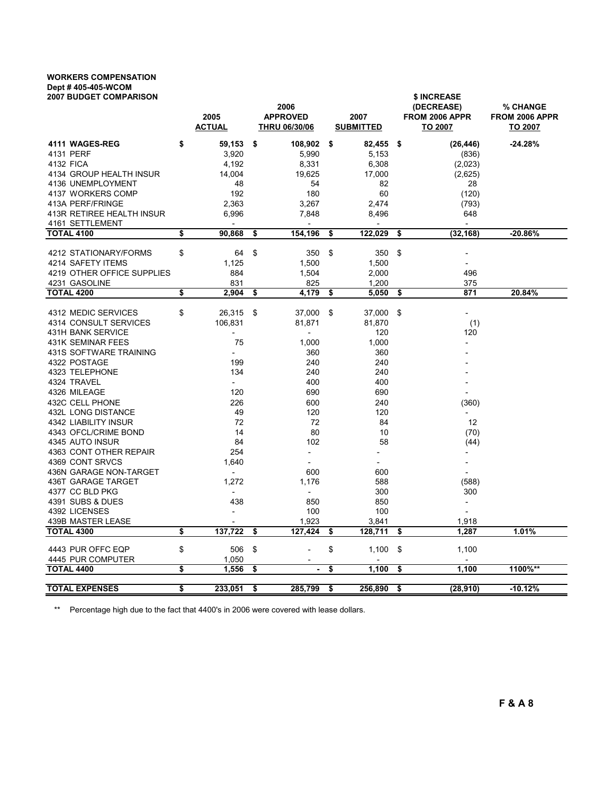## WORKERS COMPENSATION Dept # 405-405-WCOM

| <b>2007 BUDGET COMPARISON</b> | 2005<br><u>ACTUAL</u>    | 2006<br><b>APPROVED</b><br><b>THRU 06/30/06</b> | 2007<br><b>SUBMITTED</b> |         |     | \$ INCREASE<br>(DECREASE)<br>FROM 2006 APPR<br>TO 2007 | % CHANGE<br>FROM 2006 APPR<br><b>TO 2007</b> |
|-------------------------------|--------------------------|-------------------------------------------------|--------------------------|---------|-----|--------------------------------------------------------|----------------------------------------------|
| 4111 WAGES-REG                | \$<br>59,153             | \$<br>108,902                                   | \$                       | 82,455  | -\$ | (26, 446)                                              | -24.28%                                      |
| 4131 PERF                     | 3,920                    | 5,990                                           |                          | 5,153   |     | (836)                                                  |                                              |
| 4132 FICA                     | 4,192                    | 8,331                                           |                          | 6,308   |     | (2,023)                                                |                                              |
| 4134 GROUP HEALTH INSUR       | 14,004                   | 19,625                                          |                          | 17,000  |     | (2,625)                                                |                                              |
| 4136 UNEMPLOYMENT             | 48                       | 54                                              |                          | 82      |     | 28                                                     |                                              |
| 4137 WORKERS COMP             | 192                      | 180                                             |                          | 60      |     | (120)                                                  |                                              |
| 413A PERF/FRINGE              | 2,363                    | 3,267                                           |                          | 2,474   |     | (793)                                                  |                                              |
| 413R RETIREE HEALTH INSUR     | 6,996                    | 7,848                                           |                          | 8,496   |     | 648                                                    |                                              |
| 4161 SETTLEMENT               | $\overline{\phantom{a}}$ |                                                 |                          |         |     |                                                        |                                              |
| <b>TOTAL 4100</b>             | \$<br>90,868             | \$<br>154,196                                   | \$                       | 122,029 | \$  | (32, 168)                                              | -20.86%                                      |
| 4212 STATIONARY/FORMS         | \$<br>64                 | \$<br>350                                       | \$                       | 350     | \$  |                                                        |                                              |
| 4214 SAFETY ITEMS             | 1,125                    | 1,500                                           |                          | 1,500   |     | $\overline{a}$                                         |                                              |
| 4219 OTHER OFFICE SUPPLIES    | 884                      | 1,504                                           |                          | 2,000   |     | 496                                                    |                                              |
| 4231 GASOLINE                 | 831                      | 825                                             |                          | 1,200   |     | 375                                                    |                                              |
| <b>TOTAL 4200</b>             | \$<br>2,904              | \$<br>4,179                                     | \$                       | 5,050   | \$  | 871                                                    | 20.84%                                       |
|                               |                          |                                                 |                          |         |     |                                                        |                                              |
| 4312 MEDIC SERVICES           | \$<br>26,315             | \$<br>37,000                                    | \$                       | 37,000  | -\$ | $\overline{\phantom{a}}$                               |                                              |
| 4314 CONSULT SERVICES         | 106,831                  | 81,871                                          |                          | 81,870  |     | (1)                                                    |                                              |
| 431H BANK SERVICE             | $\overline{a}$           | $\blacksquare$                                  |                          | 120     |     | 120                                                    |                                              |
| 431K SEMINAR FEES             | 75                       | 1,000                                           |                          | 1,000   |     |                                                        |                                              |
| 431S SOFTWARE TRAINING        | $\overline{\phantom{a}}$ | 360                                             |                          | 360     |     |                                                        |                                              |
| 4322 POSTAGE                  | 199                      | 240                                             |                          | 240     |     |                                                        |                                              |
| 4323 TELEPHONE                | 134                      | 240                                             |                          | 240     |     |                                                        |                                              |
| 4324 TRAVEL                   | $\overline{\phantom{0}}$ | 400                                             |                          | 400     |     |                                                        |                                              |
| 4326 MILEAGE                  | 120                      | 690                                             |                          | 690     |     | $\overline{\phantom{a}}$                               |                                              |
| 432C CELL PHONE               | 226                      | 600                                             |                          | 240     |     | (360)                                                  |                                              |
| 432L LONG DISTANCE            | 49                       | 120                                             |                          | 120     |     |                                                        |                                              |
| 4342 LIABILITY INSUR          | 72                       | 72                                              |                          | 84      |     | 12                                                     |                                              |
| 4343 OFCL/CRIME BOND          | 14                       | 80                                              |                          | 10      |     | (70)                                                   |                                              |
| 4345 AUTO INSUR               | 84                       | 102                                             |                          | 58      |     | (44)                                                   |                                              |
| 4363 CONT OTHER REPAIR        | 254                      | $\overline{\phantom{a}}$                        |                          |         |     |                                                        |                                              |
| 4369 CONT SRVCS               | 1,640                    |                                                 |                          |         |     | $\overline{a}$                                         |                                              |
| 436N GARAGE NON-TARGET        | $\overline{\phantom{a}}$ | 600                                             |                          | 600     |     | $\overline{\phantom{a}}$                               |                                              |
| 436T GARAGE TARGET            | 1,272                    | 1,176                                           |                          | 588     |     | (588)                                                  |                                              |
| 4377 CC BLD PKG               | $\overline{\phantom{a}}$ | $\overline{\phantom{a}}$                        |                          | 300     |     | 300                                                    |                                              |
| 4391 SUBS & DUES              | 438                      | 850                                             |                          | 850     |     | $\overline{\phantom{a}}$                               |                                              |
| 4392 LICENSES                 | $\overline{\phantom{a}}$ | 100                                             |                          | 100     |     | $\overline{a}$                                         |                                              |
| 439B MASTER LEASE             |                          | 1,923                                           |                          | 3,841   |     | 1,918                                                  |                                              |
| <b>TOTAL 4300</b>             | \$<br>137,722            | \$<br>127,424                                   | \$                       | 128,711 | \$  | 1,287                                                  | 1.01%                                        |
| 4443 PUR OFFC EQP             | \$<br>506                | \$                                              | \$                       | 1,100   | \$  | 1,100                                                  |                                              |
| 4445 PUR COMPUTER             | 1,050                    |                                                 |                          |         |     |                                                        |                                              |
| <b>TOTAL 4400</b>             | \$<br>1,556              | \$<br>$\blacksquare$                            | \$                       | 1,100   | \$  | 1,100                                                  | 1100%**                                      |
| <b>TOTAL EXPENSES</b>         | \$<br>233.051            | \$<br>285.799                                   | \$                       | 256,890 | \$  | (28,910)                                               | $-10.12%$                                    |
|                               |                          |                                                 |                          |         |     |                                                        |                                              |

\*\* Percentage high due to the fact that 4400's in 2006 were covered with lease dollars.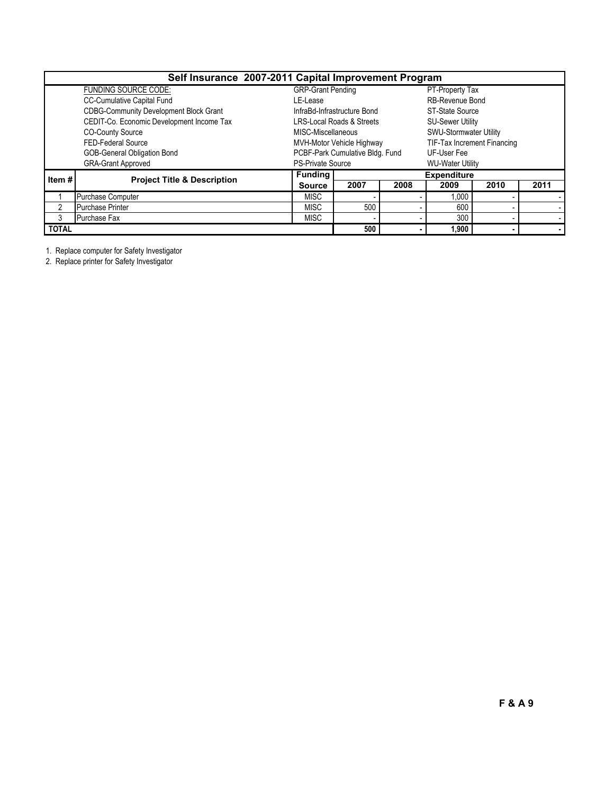| Self Insurance 2007-2011 Capital Improvement Program |                                               |                          |                                 |       |                             |      |      |  |  |  |  |
|------------------------------------------------------|-----------------------------------------------|--------------------------|---------------------------------|-------|-----------------------------|------|------|--|--|--|--|
|                                                      | <b>FUNDING SOURCE CODE:</b>                   | <b>GRP-Grant Pending</b> |                                 |       | PT-Property Tax             |      |      |  |  |  |  |
|                                                      | CC-Cumulative Capital Fund                    | LE-Lease                 |                                 |       | RB-Revenue Bond             |      |      |  |  |  |  |
|                                                      | <b>CDBG-Community Development Block Grant</b> |                          | InfraBd-Infrastructure Bond     |       | ST-State Source             |      |      |  |  |  |  |
|                                                      | CEDIT-Co. Economic Development Income Tax     |                          | LRS-Local Roads & Streets       |       | <b>SU-Sewer Utility</b>     |      |      |  |  |  |  |
|                                                      | <b>CO-County Source</b>                       | MISC-Miscellaneous       |                                 |       | SWU-Stormwater Utility      |      |      |  |  |  |  |
|                                                      | <b>FED-Federal Source</b>                     |                          | MVH-Motor Vehicle Highway       |       | TIF-Tax Increment Financing |      |      |  |  |  |  |
|                                                      | <b>GOB-General Obligation Bond</b>            |                          | PCBF-Park Cumulative Bldg. Fund |       | UF-User Fee                 |      |      |  |  |  |  |
|                                                      | <b>GRA-Grant Approved</b>                     | <b>PS-Private Source</b> |                                 |       | <b>WU-Water Utility</b>     |      |      |  |  |  |  |
| Item $#$                                             |                                               | <b>Funding</b>           |                                 |       | <b>Expenditure</b>          |      |      |  |  |  |  |
|                                                      | <b>Project Title &amp; Description</b>        | <b>Source</b>            | 2007                            | 2008  | 2009                        | 2010 | 2011 |  |  |  |  |
|                                                      | Purchase Computer                             | MISC                     |                                 |       | 1.000                       |      |      |  |  |  |  |
|                                                      | <b>Purchase Printer</b>                       | <b>MISC</b>              | 500                             |       | 600                         |      |      |  |  |  |  |
| 3                                                    | Purchase Fax                                  | MISC                     |                                 |       | 300                         |      |      |  |  |  |  |
| <b>TOTAL</b>                                         |                                               | 500                      |                                 | 1.900 |                             |      |      |  |  |  |  |

1. Replace computer for Safety Investigator

2. Replace printer for Safety Investigator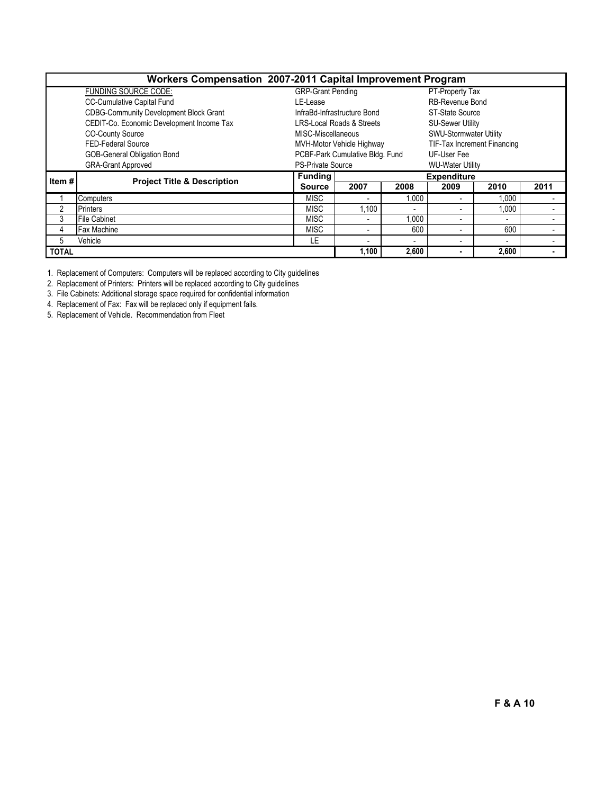| Workers Compensation 2007-2011 Capital Improvement Program |                                               |                          |                                      |       |                               |                          |      |  |  |  |  |  |
|------------------------------------------------------------|-----------------------------------------------|--------------------------|--------------------------------------|-------|-------------------------------|--------------------------|------|--|--|--|--|--|
|                                                            | <b>FUNDING SOURCE CODE:</b>                   | <b>GRP-Grant Pending</b> |                                      |       | PT-Property Tax               |                          |      |  |  |  |  |  |
|                                                            | <b>CC-Cumulative Capital Fund</b>             | LE-Lease                 |                                      |       | RB-Revenue Bond               |                          |      |  |  |  |  |  |
|                                                            | <b>CDBG-Community Development Block Grant</b> |                          | InfraBd-Infrastructure Bond          |       | ST-State Source               |                          |      |  |  |  |  |  |
|                                                            | CEDIT-Co. Economic Development Income Tax     |                          | <b>LRS-Local Roads &amp; Streets</b> |       | <b>SU-Sewer Utility</b>       |                          |      |  |  |  |  |  |
|                                                            | <b>CO-County Source</b>                       | MISC-Miscellaneous       |                                      |       | <b>SWU-Stormwater Utility</b> |                          |      |  |  |  |  |  |
|                                                            | <b>FED-Federal Source</b>                     |                          | MVH-Motor Vehicle Highway            |       | TIF-Tax Increment Financing   |                          |      |  |  |  |  |  |
|                                                            | <b>GOB-General Obligation Bond</b>            |                          | PCBF-Park Cumulative Bldg. Fund      |       | UF-User Fee                   |                          |      |  |  |  |  |  |
|                                                            | <b>GRA-Grant Approved</b>                     | <b>PS-Private Source</b> |                                      |       | <b>WU-Water Utility</b>       |                          |      |  |  |  |  |  |
| Item#                                                      |                                               | <b>Funding</b>           |                                      |       | <b>Expenditure</b>            |                          |      |  |  |  |  |  |
|                                                            | <b>Project Title &amp; Description</b>        | <b>Source</b>            | 2007                                 | 2008  | 2009                          | 2010                     | 2011 |  |  |  |  |  |
|                                                            | Computers                                     | <b>MISC</b>              | ۰                                    | 1,000 |                               | 1,000                    |      |  |  |  |  |  |
| 2                                                          | <b>Printers</b>                               | <b>MISC</b>              | 1,100                                |       |                               | 1,000                    |      |  |  |  |  |  |
| 3                                                          | <b>File Cabinet</b>                           | <b>MISC</b>              | $\blacksquare$                       | 1,000 |                               | $\overline{\phantom{a}}$ |      |  |  |  |  |  |
| 4                                                          | <b>Fax Machine</b>                            | <b>MISC</b>              | ٠                                    | 600   |                               | 600                      |      |  |  |  |  |  |
| 5                                                          | Vehicle                                       | LE                       | ٠                                    |       |                               | $\overline{\phantom{a}}$ |      |  |  |  |  |  |
| <b>TOTAL</b>                                               |                                               |                          | 1,100                                | 2,600 |                               | 2,600                    |      |  |  |  |  |  |

1. Replacement of Computers: Computers will be replaced according to City guidelines

2. Replacement of Printers: Printers will be replaced according to City guidelines

3. File Cabinets: Additional storage space required for confidential information

4. Replacement of Fax: Fax will be replaced only if equipment fails.

5. Replacement of Vehicle. Recommendation from Fleet